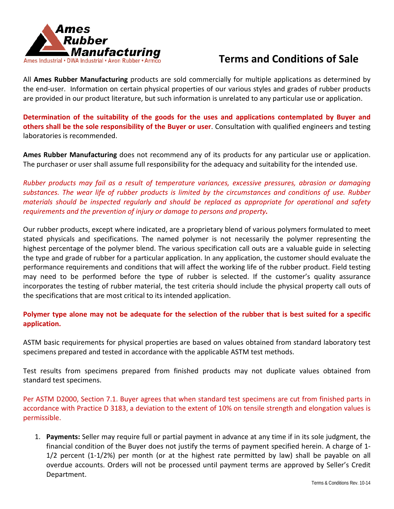

## **Terms and Conditions of Sale**

All **Ames Rubber Manufacturing** products are sold commercially for multiple applications as determined by the end-user. Information on certain physical properties of our various styles and grades of rubber products are provided in our product literature, but such information is unrelated to any particular use or application.

**Determination of the suitability of the goods for the uses and applications contemplated by Buyer and others shall be the sole responsibility of the Buyer or user**. Consultation with qualified engineers and testing laboratories is recommended.

**Ames Rubber Manufacturing** does not recommend any of its products for any particular use or application. The purchaser or user shall assume full responsibility for the adequacy and suitability for the intended use.

*Rubber products may fail as a result of temperature variances, excessive pressures, abrasion or damaging substances. The wear life of rubber products is limited by the circumstances and conditions of use. Rubber materials should be inspected regularly and should be replaced as appropriate for operational and safety requirements and the prevention of injury or damage to persons and property.*

Our rubber products, except where indicated, are a proprietary blend of various polymers formulated to meet stated physicals and specifications. The named polymer is not necessarily the polymer representing the highest percentage of the polymer blend. The various specification call outs are a valuable guide in selecting the type and grade of rubber for a particular application. In any application, the customer should evaluate the performance requirements and conditions that will affect the working life of the rubber product. Field testing may need to be performed before the type of rubber is selected. If the customer's quality assurance incorporates the testing of rubber material, the test criteria should include the physical property call outs of the specifications that are most critical to its intended application.

**Polymer type alone may not be adequate for the selection of the rubber that is best suited for a specific application.**

ASTM basic requirements for physical properties are based on values obtained from standard laboratory test specimens prepared and tested in accordance with the applicable ASTM test methods.

Test results from specimens prepared from finished products may not duplicate values obtained from standard test specimens.

Per ASTM D2000, Section 7.1. Buyer agrees that when standard test specimens are cut from finished parts in accordance with Practice D 3183, a deviation to the extent of 10% on tensile strength and elongation values is permissible.

1. **Payments:** Seller may require full or partial payment in advance at any time if in its sole judgment, the financial condition of the Buyer does not justify the terms of payment specified herein. A charge of 1- 1/2 percent (1-1/2%) per month (or at the highest rate permitted by law) shall be payable on all overdue accounts. Orders will not be processed until payment terms are approved by Seller's Credit Department.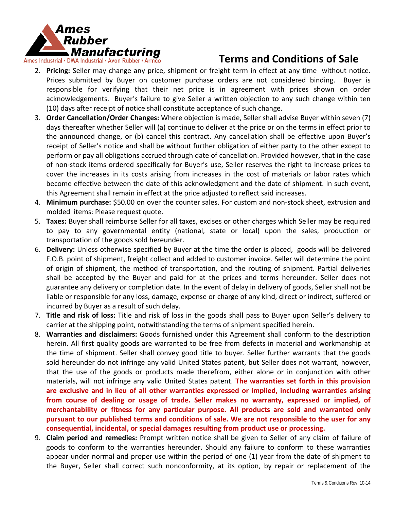

- 2. **Pricing:** Seller may change any price, shipment or freight term in effect at any time without notice. Prices submitted by Buyer on customer purchase orders are not considered binding. Buyer is responsible for verifying that their net price is in agreement with prices shown on order acknowledgements. Buyer's failure to give Seller a written objection to any such change within ten (10) days after receipt of notice shall constitute acceptance of such change.
- 3. **Order Cancellation/Order Changes:** Where objection is made, Seller shall advise Buyer within seven (7) days thereafter whether Seller will (a) continue to deliver at the price or on the terms in effect prior to the announced change, or (b) cancel this contract. Any cancellation shall be effective upon Buyer's receipt of Seller's notice and shall be without further obligation of either party to the other except to perform or pay all obligations accrued through date of cancellation. Provided however, that in the case of non-stock items ordered specifically for Buyer's use, Seller reserves the right to increase prices to cover the increases in its costs arising from increases in the cost of materials or labor rates which become effective between the date of this acknowledgment and the date of shipment. In such event, this Agreement shall remain in effect at the price adjusted to reflect said increases.
- 4. **Minimum purchase:** \$50.00 on over the counter sales. For custom and non-stock sheet, extrusion and molded items: Please request quote.
- 5. **Taxes:** Buyer shall reimburse Seller for all taxes, excises or other charges which Seller may be required to pay to any governmental entity (national, state or local) upon the sales, production or transportation of the goods sold hereunder.
- 6. **Delivery:** Unless otherwise specified by Buyer at the time the order is placed, goods will be delivered F.O.B. point of shipment, freight collect and added to customer invoice. Seller will determine the point of origin of shipment, the method of transportation, and the routing of shipment. Partial deliveries shall be accepted by the Buyer and paid for at the prices and terms hereunder. Seller does not guarantee any delivery or completion date. In the event of delay in delivery of goods, Seller shall not be liable or responsible for any loss, damage, expense or charge of any kind, direct or indirect, suffered or incurred by Buyer as a result of such delay.
- 7. **Title and risk of loss:** Title and risk of loss in the goods shall pass to Buyer upon Seller's delivery to carrier at the shipping point, notwithstanding the terms of shipment specified herein.
- 8. **Warranties and disclaimers:** Goods furnished under this Agreement shall conform to the description herein. All first quality goods are warranted to be free from defects in material and workmanship at the time of shipment. Seller shall convey good title to buyer. Seller further warrants that the goods sold hereunder do not infringe any valid United States patent, but Seller does not warrant, however, that the use of the goods or products made therefrom, either alone or in conjunction with other materials, will not infringe any valid United States patent. **The warranties set forth in this provision are exclusive and in lieu of all other warranties expressed or implied, including warranties arising from course of dealing or usage of trade. Seller makes no warranty, expressed or implied, of merchantability or fitness for any particular purpose. All products are sold and warranted only pursuant to our published terms and conditions of sale. We are not responsible to the user for any consequential, incidental, or special damages resulting from product use or processing.**
- 9. **Claim period and remedies:** Prompt written notice shall be given to Seller of any claim of failure of goods to conform to the warranties hereunder. Should any failure to conform to these warranties appear under normal and proper use within the period of one (1) year from the date of shipment to the Buyer, Seller shall correct such nonconformity, at its option, by repair or replacement of the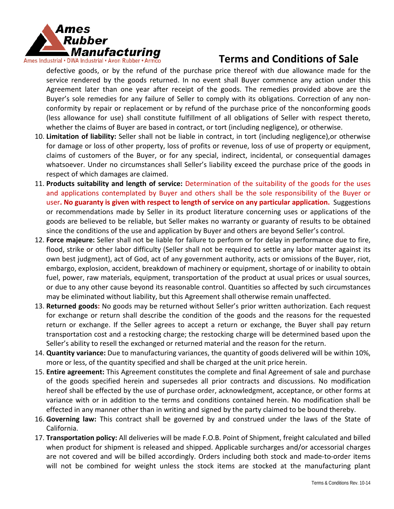

defective goods, or by the refund of the purchase price thereof with due allowance made for the service rendered by the goods returned. In no event shall Buyer commence any action under this Agreement later than one year after receipt of the goods. The remedies provided above are the Buyer's sole remedies for any failure of Seller to comply with its obligations. Correction of any nonconformity by repair or replacement or by refund of the purchase price of the nonconforming goods (less allowance for use) shall constitute fulfillment of all obligations of Seller with respect thereto, whether the claims of Buyer are based in contract, or tort (including negligence), or otherwise.

- 10. **Limitation of liability:** Seller shall not be liable in contract, in tort (including negligence),or otherwise for damage or loss of other property, loss of profits or revenue, loss of use of property or equipment, claims of customers of the Buyer, or for any special, indirect, incidental, or consequential damages whatsoever. Under no circumstances shall Seller's liability exceed the purchase price of the goods in respect of which damages are claimed.
- 11. **Products suitability and length of service:** Determination of the suitability of the goods for the uses and applications contemplated by Buyer and others shall be the sole responsibility of the Buyer or user**. No guaranty is given with respect to length of service on any particular application.** Suggestions or recommendations made by Seller in its product literature concerning uses or applications of the goods are believed to be reliable, but Seller makes no warranty or guaranty of results to be obtained since the conditions of the use and application by Buyer and others are beyond Seller's control.
- 12. **Force majeure:** Seller shall not be liable for failure to perform or for delay in performance due to fire, flood, strike or other labor difficulty (Seller shall not be required to settle any labor matter against its own best judgment), act of God, act of any government authority, acts or omissions of the Buyer, riot, embargo, explosion, accident, breakdown of machinery or equipment, shortage of or inability to obtain fuel, power, raw materials, equipment, transportation of the product at usual prices or usual sources, or due to any other cause beyond its reasonable control. Quantities so affected by such circumstances may be eliminated without liability, but this Agreement shall otherwise remain unaffected.
- 13. **Returned goods:** No goods may be returned without Seller's prior written authorization. Each request for exchange or return shall describe the condition of the goods and the reasons for the requested return or exchange. If the Seller agrees to accept a return or exchange, the Buyer shall pay return transportation cost and a restocking charge; the restocking charge will be determined based upon the Seller's ability to resell the exchanged or returned material and the reason for the return.
- 14. **Quantity variance:** Due to manufacturing variances, the quantity of goods delivered will be within 10%, more or less, of the quantity specified and shall be charged at the unit price herein.
- 15. **Entire agreement:** This Agreement constitutes the complete and final Agreement of sale and purchase of the goods specified herein and supersedes all prior contracts and discussions. No modification hereof shall be effected by the use of purchase order, acknowledgment, acceptance, or other forms at variance with or in addition to the terms and conditions contained herein. No modification shall be effected in any manner other than in writing and signed by the party claimed to be bound thereby.
- 16. **Governing law:** This contract shall be governed by and construed under the laws of the State of California.
- 17. **Transportation policy:** All deliveries will be made F.O.B. Point of Shipment, freight calculated and billed when product for shipment is released and shipped. Applicable surcharges and/or accessorial charges are not covered and will be billed accordingly. Orders including both stock and made-to-order items will not be combined for weight unless the stock items are stocked at the manufacturing plant